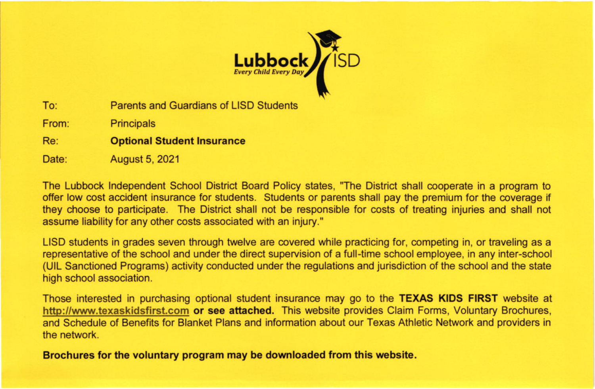

Parents and Guardians of LISD Students To:

**Principals** From:

Optional Student lnsurance Re:

August 5, 2021 Date:

The Lubbock lndependent School District Board Policy slates, "The District shall cooperate in a program to offer low cost accident insurance for students. Students or parents shall pay the premium for the coverage if they choose to participate. The Diskict shall not be responsible for costs of treating injuries and shall not assume liability for any other costs associated with an injury."

LISD students in grades seven through twelve are covered while practicing for, competing in, or traveling as a representative of the school and under the direct supervision of a full-time school employee, in any inter-school (UlL Sanctioned Programs) activity conducted under the regulations and jurisdiction ofthe school and the state high school association.

Those interested in purchasing optional student insurance may go to the **TEXAS KIDS FIRST** website at http://www.texaskidsfirst.com or see attached. This website provides Claim Forms, Voluntary Brochures, and Schedule of Benefits for Blanket Plans and information about our Texas Athletic Network and providers in the network.

Brochures for the voluntary proqram may be downloaded from this website.